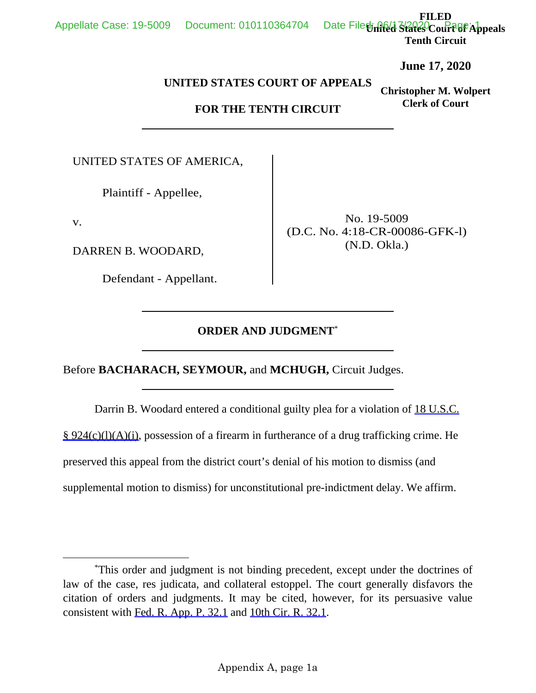Appendix A, page 1a

**FILED**  Date Filed rich States Court<sup>age</sup> Appeals **Tenth Circuit** 

**June 17, 2020**

**Christopher M. Wolpert Clerk of Court**

## **UNITED STATES COURT OF APPEALS**

## **FOR THE TENTH CIRCUIT**

UNITED STATES OF AMERICA,

Plaintiff - Appellee,

v.

DARREN B. WOODARD,

Defendant - Appellant.

No. 19-5009 (D.C. No. 4:18-CR-00086-GFK-l) (N.D. Okla.)

## **ORDER AND JUDGMENT**\*

Before **BACHARACH, SEYMOUR,** and **MCHUGH,** Circuit Judges.

 Darrin B. Woodard entered a conditional guilty plea for a violation of 18 U.S.C. § 924(c)(l)(A)(i), possession of a firearm in furtherance of a drug trafficking crime. He preserved this appeal from the district court's denial of his motion to dismiss (and supplemental motion to dismiss) for unconstitutional pre-indictment delay. We affirm.

Appellate Case: 19-5009 Document: 010110364704

 <sup>\*</sup>This order and judgment is not binding precedent, except under the doctrines of law of the case, res judicata, and collateral estoppel. The court generally disfavors the citation of orders and judgments. It may be cited, however, for its persuasive value consistent with Fed. R. App. P. 32.1 and 10th Cir. R. 32.1.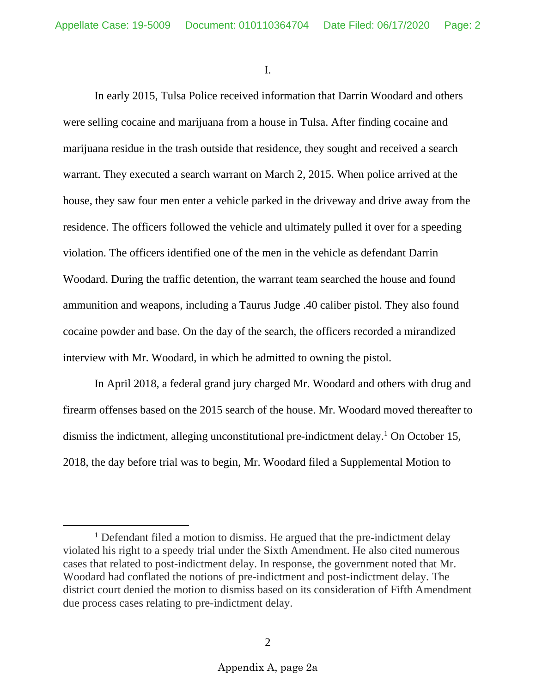I.

In early 2015, Tulsa Police received information that Darrin Woodard and others were selling cocaine and marijuana from a house in Tulsa. After finding cocaine and marijuana residue in the trash outside that residence, they sought and received a search warrant. They executed a search warrant on March 2, 2015. When police arrived at the house, they saw four men enter a vehicle parked in the driveway and drive away from the residence. The officers followed the vehicle and ultimately pulled it over for a speeding violation. The officers identified one of the men in the vehicle as defendant Darrin Woodard. During the traffic detention, the warrant team searched the house and found ammunition and weapons, including a Taurus Judge .40 caliber pistol. They also found cocaine powder and base. On the day of the search, the officers recorded a mirandized interview with Mr. Woodard, in which he admitted to owning the pistol.

 In April 2018, a federal grand jury charged Mr. Woodard and others with drug and firearm offenses based on the 2015 search of the house. Mr. Woodard moved thereafter to dismiss the indictment, alleging unconstitutional pre-indictment delay.<sup>1</sup> On October 15, 2018, the day before trial was to begin, Mr. Woodard filed a Supplemental Motion to

<sup>&</sup>lt;sup>1</sup> Defendant filed a motion to dismiss. He argued that the pre-indictment delay violated his right to a speedy trial under the Sixth Amendment. He also cited numerous cases that related to post-indictment delay. In response, the government noted that Mr. Woodard had conflated the notions of pre-indictment and post-indictment delay. The district court denied the motion to dismiss based on its consideration of Fifth Amendment due process cases relating to pre-indictment delay.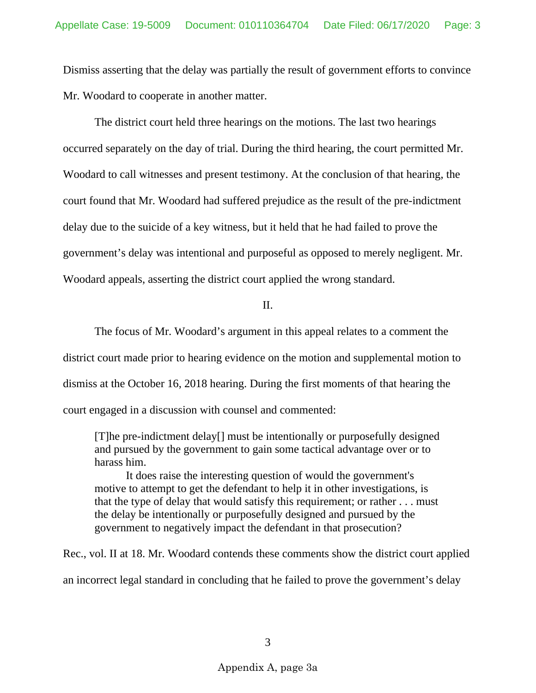Dismiss asserting that the delay was partially the result of government efforts to convince Mr. Woodard to cooperate in another matter.

The district court held three hearings on the motions. The last two hearings occurred separately on the day of trial. During the third hearing, the court permitted Mr. Woodard to call witnesses and present testimony. At the conclusion of that hearing, the court found that Mr. Woodard had suffered prejudice as the result of the pre-indictment delay due to the suicide of a key witness, but it held that he had failed to prove the government's delay was intentional and purposeful as opposed to merely negligent. Mr. Woodard appeals, asserting the district court applied the wrong standard.

 $II$ .

 The focus of Mr. Woodard's argument in this appeal relates to a comment the district court made prior to hearing evidence on the motion and supplemental motion to dismiss at the October 16, 2018 hearing. During the first moments of that hearing the court engaged in a discussion with counsel and commented:

[T]he pre-indictment delay[] must be intentionally or purposefully designed and pursued by the government to gain some tactical advantage over or to harass him.

It does raise the interesting question of would the government's motive to attempt to get the defendant to help it in other investigations, is that the type of delay that would satisfy this requirement; or rather . . . must the delay be intentionally or purposefully designed and pursued by the government to negatively impact the defendant in that prosecution?

Rec., vol. II at 18. Mr. Woodard contends these comments show the district court applied an incorrect legal standard in concluding that he failed to prove the government's delay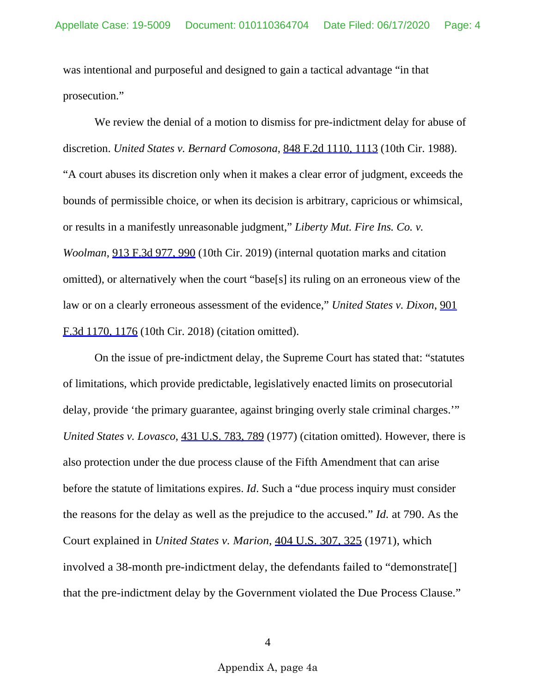was intentional and purposeful and designed to gain a tactical advantage "in that prosecution."

We review the denial of a motion to dismiss for pre-indictment delay for abuse of discretion. *United States v. Bernard Comosona*, 848 F.2d 1110, 1113 (10th Cir. 1988). "A court abuses its discretion only when it makes a clear error of judgment, exceeds the bounds of permissible choice, or when its decision is arbitrary, capricious or whimsical, or results in a manifestly unreasonable judgment," *Liberty Mut. Fire Ins. Co. v. Woolman*, 913 F.3d 977, 990 (10th Cir. 2019) (internal quotation marks and citation omitted), or alternatively when the court "base[s] its ruling on an erroneous view of the law or on a clearly erroneous assessment of the evidence," *United States v. Dixon*, 901 F.3d 1170, 1176 (10th Cir. 2018) (citation omitted).

On the issue of pre-indictment delay, the Supreme Court has stated that: "statutes of limitations, which provide predictable, legislatively enacted limits on prosecutorial delay, provide 'the primary guarantee, against bringing overly stale criminal charges.'" *United States v. Lovasco*, 431 U.S. 783, 789 (1977) (citation omitted). However, there is also protection under the due process clause of the Fifth Amendment that can arise before the statute of limitations expires. *Id*. Such a "due process inquiry must consider the reasons for the delay as well as the prejudice to the accused." *Id.* at 790. As the Court explained in *United States v. Marion*, 404 U.S. 307, 325 (1971), which involved a 38-month pre-indictment delay, the defendants failed to "demonstrate[] that the pre-indictment delay by the Government violated the Due Process Clause."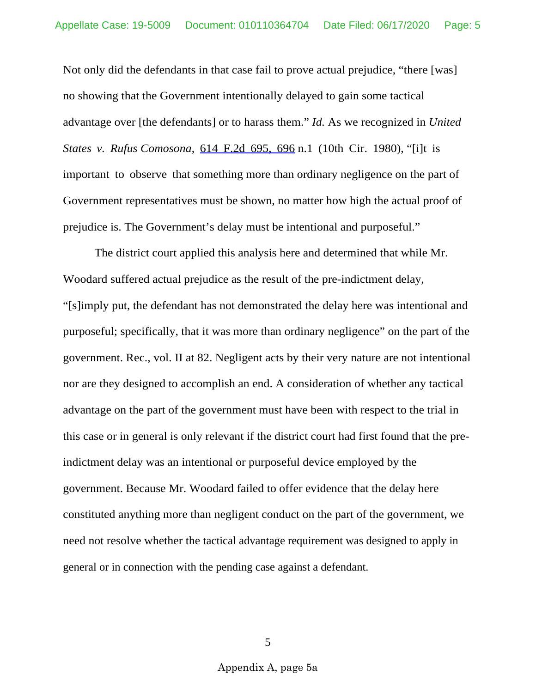Not only did the defendants in that case fail to prove actual prejudice, "there [was] no showing that the Government intentionally delayed to gain some tactical advantage over [the defendants] or to harass them." *Id.* As we recognized in *United States v. Rufus Comosona*, 614 F.2d 695, 696 n.1 (10th Cir. 1980), "[i]t is important to observe that something more than ordinary negligence on the part of Government representatives must be shown, no matter how high the actual proof of prejudice is. The Government's delay must be intentional and purposeful."

The district court applied this analysis here and determined that while Mr. Woodard suffered actual prejudice as the result of the pre-indictment delay, "[s]imply put, the defendant has not demonstrated the delay here was intentional and purposeful; specifically, that it was more than ordinary negligence" on the part of the government. Rec., vol. II at 82. Negligent acts by their very nature are not intentional nor are they designed to accomplish an end. A consideration of whether any tactical advantage on the part of the government must have been with respect to the trial in this case or in general is only relevant if the district court had first found that the preindictment delay was an intentional or purposeful device employed by the government. Because Mr. Woodard failed to offer evidence that the delay here constituted anything more than negligent conduct on the part of the government, we need not resolve whether the tactical advantage requirement was designed to apply in general or in connection with the pending case against a defendant.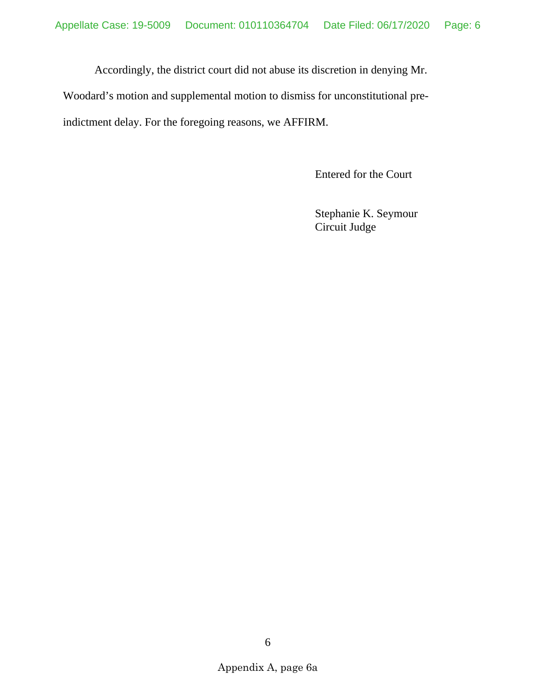Accordingly, the district court did not abuse its discretion in denying Mr.

Woodard's motion and supplemental motion to dismiss for unconstitutional pre-

indictment delay. For the foregoing reasons, we AFFIRM.

Entered for the Court

Stephanie K. Seymour Circuit Judge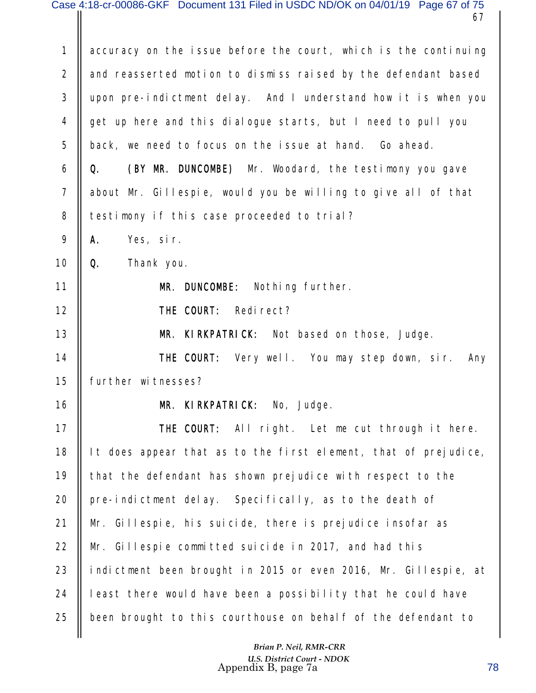| $\mathbf{1}$   | accuracy on the issue before the court, which is the continuing |
|----------------|-----------------------------------------------------------------|
| $\overline{2}$ | and reasserted motion to dismiss raised by the defendant based  |
| 3              | upon pre-indictment delay. And I understand how it is when you  |
| 4              | get up here and this dialogue starts, but I need to pull you    |
| 5              | back, we need to focus on the issue at hand. Go ahead.          |
| 6              | (BY MR. DUNCOMBE) Mr. Woodard, the testimony you gave<br>Q.     |
| $\overline{7}$ | about Mr. Gillespie, would you be willing to give all of that   |
| 8              | testimony if this case proceeded to trial?                      |
| 9              | Α.<br>Yes, sir.                                                 |
| 10             | Q.<br>Thank you.                                                |
| 11             | MR. DUNCOMBE: Nothing further.                                  |
| 12             | THE COURT: Redirect?                                            |
| 13             | <b>KIRKPATRICK:</b> Not based on those, Judge.<br>MR.           |
| 14             | <b>THE COURT:</b> Very well. You may step down, sir.<br>Any     |
| 15             | further witnesses?                                              |
| 16             | MR. KIRKPATRICK: No, Judge.                                     |
| 17             | THE COURT: All right. Let me cut through it here.               |
| 18             | It does appear that as to the first element, that of prejudice, |
| 19             | that the defendant has shown prejudice with respect to the      |
| 20             | pre-indictment delay. Specifically, as to the death of          |
| 21             | Mr. Gillespie, his suicide, there is prejudice insofar as       |
| 22             | Mr. Gillespie committed suicide in 2017, and had this           |
| 23             | indictment been brought in 2015 or even 2016, Mr. Gillespie, at |
| 24             | least there would have been a possibility that he could have    |
| 25             | been brought to this courthouse on behalf of the defendant to   |
|                |                                                                 |

 *Brian P. Neil, RMR-CRR U.S. District Court - NDOK* Appendix B, page 7a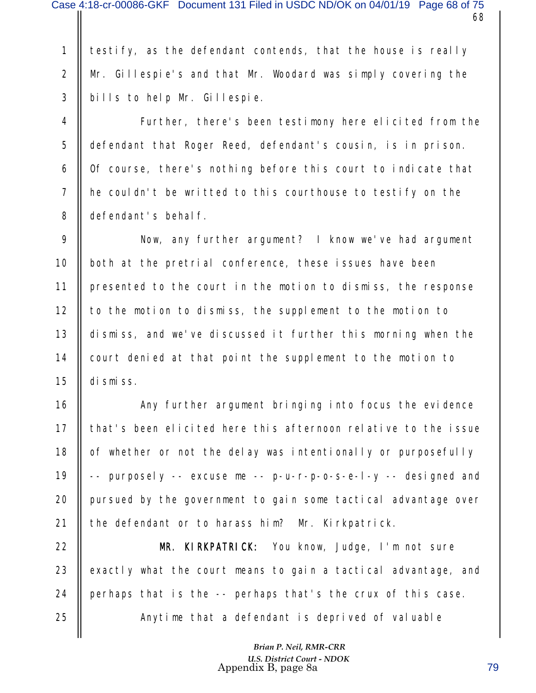testify, as the defendant contends, that the house is really Mr. Gillespie's and that Mr. Woodard was simply covering the bills to help Mr. Gillespie. 1 2 3

Further, there's been testimony here elicited from the defendant that Roger Reed, defendant's cousin, is in prison. Of course, there's nothing before this court to indicate that he couldn't be writted to this courthouse to testify on the defendant's behalf. 4 5 6 7 8

Now, any further argument? I know we've had argument both at the pretrial conference, these issues have been presented to the court in the motion to dismiss, the response to the motion to dismiss, the supplement to the motion to dismiss, and we've discussed it further this morning when the court denied at that point the supplement to the motion to dismiss. 9 10 11 12 13 14 15

Any further argument bringing into focus the evidence that's been elicited here this afternoon relative to the issue of whether or not the delay was intentionally or purposefully -- purposely -- excuse me -- p-u-r-p-o-s-e-l-y -- designed and pursued by the government to gain some tactical advantage over the defendant or to harass him? Mr. Kirkpatrick. 16 17 18 19 20 21

MR. KIRKPATRICK: You know, Judge, I'm not sure exactly what the court means to gain a tactical advantage, and perhaps that is the -- perhaps that's the crux of this case. Anytime that a defendant is deprived of valuable 22 23 24 25

> *Brian P. Neil, RMR-CRR U.S. District Court - NDOK* Appendix B, page 8a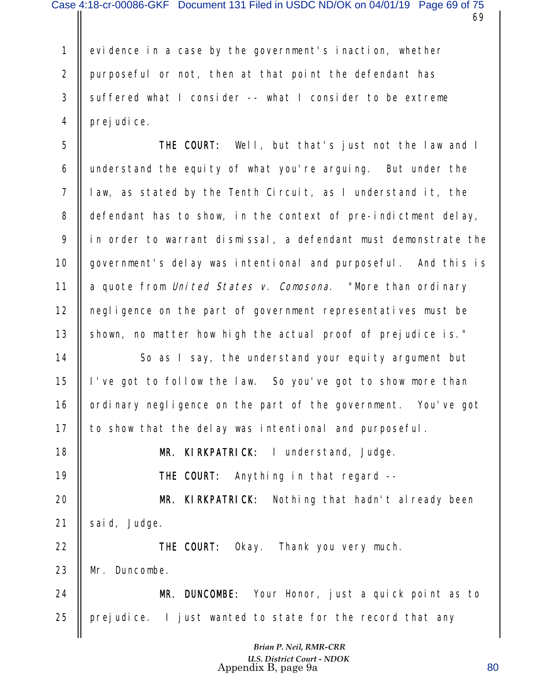evidence in a case by the government's inaction, whether purposeful or not, then at that point the defendant has suffered what I consider -- what I consider to be extreme prej udi ce. 1 2 3 4

THE COURT: Well, but that's just not the law and I understand the equity of what you're arguing. But under the law, as stated by the Tenth Circuit, as I understand it, the defendant has to show, in the context of pre-indictment delay, in order to warrant dismissal, a defendant must demonstrate the government's delay was intentional and purposeful. And this is a quote from United States v. Comosona. "More than ordinary negligence on the part of government representatives must be shown, no matter how high the actual proof of prejudice is." 5 6 7 8 9 10 11 12 13

So as I say, the understand your equity argument but I've got to follow the law. So you've got to show more than ordinary negligence on the part of the government. You've got to show that the delay was intentional and purposeful. 14 15 16 17

MR. KIRKPATRICK: I understand, Judge.

THE COURT: Anything in that regard --

18

19

MR. KIRKPATRICK: Nothing that hadn't already been said, Judge. 20 21

THE COURT: Okay. Thank you very much. Mr. Duncombe. MR. DUNCOMBE: Your Honor, just a quick point as to 22 23 24

prejudice. I just wanted to state for the record that any 25

> *Brian P. Neil, RMR-CRR U.S. District Court - NDOK* Appendix B, page 9a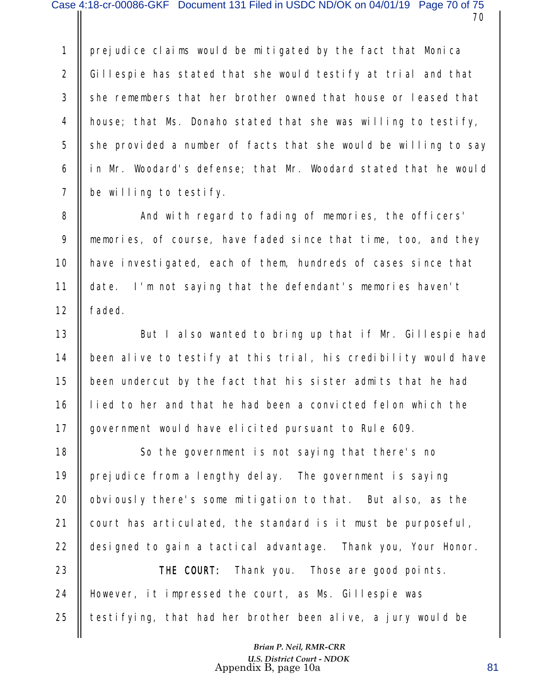prejudice claims would be mitigated by the fact that Monica Gillespie has stated that she would testify at trial and that she remembers that her brother owned that house or leased that house; that Ms. Donaho stated that she was willing to testify, she provided a number of facts that she would be willing to say in Mr. Woodard's defense; that Mr. Woodard stated that he would be willing to testify. 1 2 3 4 5 6 7

And with regard to fading of memories, the officers' memories, of course, have faded since that time, too, and they have investigated, each of them, hundreds of cases since that date. I'm not saying that the defendant's memories haven't faded. 8 9 10 11 12

But I also wanted to bring up that if Mr. Gillespie had been alive to testify at this trial, his credibility would have been undercut by the fact that his sister admits that he had lied to her and that he had been a convicted felon which the government would have elicited pursuant to Rule 609. 13 14 15 16 17

So the government is not saying that there's no prejudice from a lengthy delay. The government is saying obviously there's some mitigation to that. But also, as the court has articulated, the standard is it must be purposeful, designed to gain a tactical advantage. Thank you, Your Honor. 18 19 20 21 22

THE COURT: Thank you. Those are good points. However, it impressed the court, as Ms. Gillespie was testifying, that had her brother been alive, a jury would be 23 24 25

> *Brian P. Neil, RMR-CRR U.S. District Court - NDOK* Appendix B, page 10a